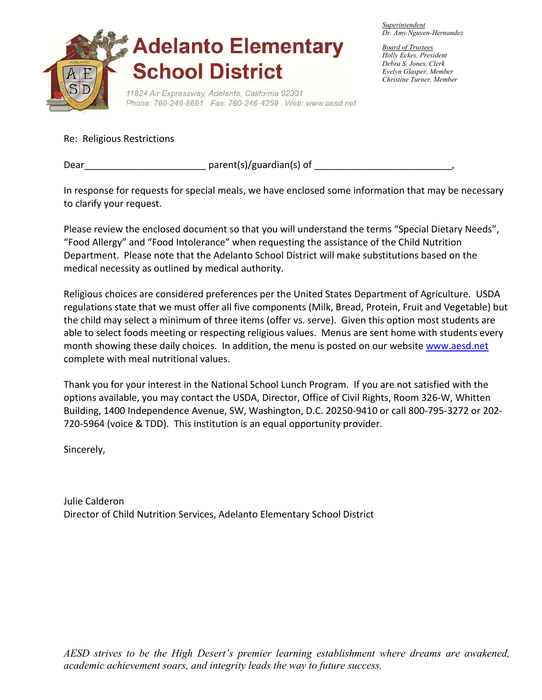

*Superintendent Dr. Amy Nguyen-Hernandez*

*Board of Trustees Holly Eckes, President Debra S. Jones, Clerk Evelyn Glasper, Member Christine Turner, Member* 

Re: Religious Restrictions

Dear\_\_\_\_\_\_\_\_\_\_\_\_\_\_\_\_\_\_\_\_\_\_\_ parent(s)/guardian(s) of \_\_\_\_\_\_\_\_\_\_\_\_\_\_\_\_\_\_\_\_\_\_\_\_\_\_,

In response for requests for special meals, we have enclosed some information that may be necessary to clarify your request.

Please review the enclosed document so that you will understand the terms "Special Dietary Needs", "Food Allergy" and "Food Intolerance" when requesting the assistance of the Child Nutrition Department. Please note that the Adelanto School District will make substitutions based on the medical necessity as outlined by medical authority.

Religious choices are considered preferences per the United States Department of Agriculture. USDA regulations state that we must offer all five components (Milk, Bread, Protein, Fruit and Vegetable) but the child may select a minimum of three items (offer vs. serve). Given this option most students are able to select foods meeting or respecting religious values. Menus are sent home with students every month showing these daily choices. In addition, the menu is posted on our website www.aesd.net complete with meal nutritional values.

Thank you for your interest in the National School Lunch Program. If you are not satisfied with the options available, you may contact the USDA, Director, Office of Civil Rights, Room 326-W, Whitten Building, 1400 Independence Avenue, SW, Washington, D.C. 20250-9410 or call 800-795-3272 or 202- 720-5964 (voice & TDD). This institution is an equal opportunity provider.

Sincerely,

Julie Calderon Director of Child Nutrition Services, Adelanto Elementary School District

*AESD strives to be the High Desert's premier learning establishment where dreams are awakened, academic achievement soars, and integrity leads the way to future success.*